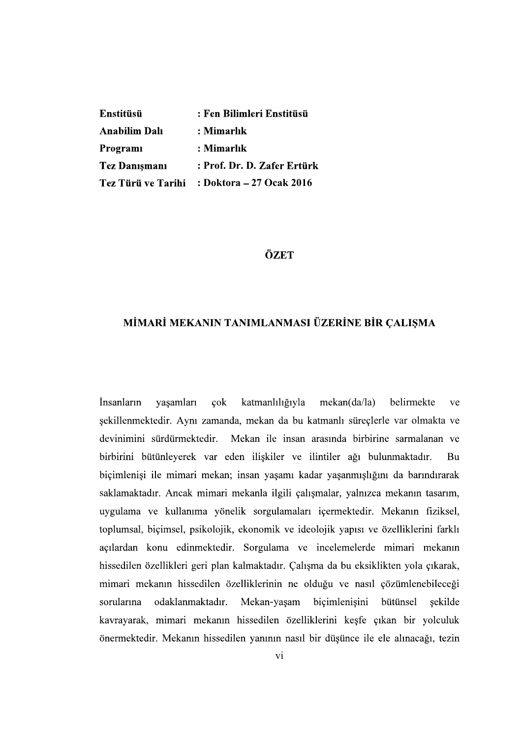| Enstitüsü            | : Fen Bilimleri Enstitüsü                   |
|----------------------|---------------------------------------------|
| Anabilim Dalı        | : Mimarlık                                  |
| Programi             | : Mimarlık                                  |
| <b>Tez Danişmanı</b> | : Prof. Dr. D. Zafer Ertürk                 |
|                      | Tez Türü ve Tarihi : Doktora – 27 Ocak 2016 |

## ÖZET

## MİMARİ MEKANIN TANIMLANMASI ÜZERİNE BİR ÇALIŞMA

*Insanlarin* yaşamları  $\cosh$ katmanlılığıyla mekan(da/la) belirmekte ve sekillenmektedir. Aynı zamanda, mekan da bu katmanlı süreclerle var olmakta ve devinimini sürdürmektedir. Mekan ile insan arasında birbirine sarmalanan ve birbirini bütünleyerek var eden ilişkiler ve ilintiler ağı bulunmaktadır. Bu biçimlenişi ile mimari mekan; insan yaşamı kadar yaşanmışlığını da barındırarak saklamaktadır. Ancak mimari mekanla ilgili çalışmalar, yalnızca mekanın tasarım, uygulama ve kullanıma yönelik sorgulamaları içermektedir. Mekanın fiziksel, toplumsal, biçimsel, psikolojik, ekonomik ve ideolojik yapısı ve özelliklerini farklı açılardan konu edinmektedir. Sorgulama ve incelemelerde mimari mekanın hissedilen özellikleri geri plan kalmaktadır. Çalışma da bu eksiklikten yola çıkarak, mimari mekanın hissedilen özelliklerinin ne olduğu ve nasıl çözümlenebileceği sorularına odaklanmaktadır. Mekan-yaşam biçimlenişini bütünsel sekilde kavrayarak, mimari mekanın hissedilen özelliklerini keşfe çıkan bir yolculuk önermektedir. Mekanın hissedilen yanının nasıl bir düşünce ile ele alınacağı, tezin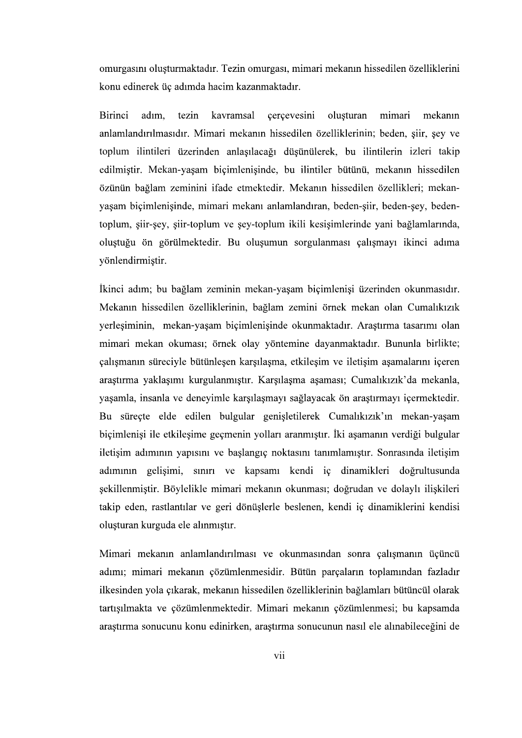omurgasını oluşturmaktadır. Tezin omurgası, mimari mekanın hissedilen özelliklerini konu edinerek üç adımda hacim kazanmaktadır.

**Birinci** adım. tezin kavramsal cercevesini olusturan mimari mekanın anlamlandırılmasıdır. Mimari mekanın hissedilen özelliklerinin; beden, siir, sey ve toplum ilintileri üzerinden anlaşılacağı düşünülerek, bu ilintilerin izleri takip edilmiştir. Mekan-yaşam biçimlenişinde, bu ilintiler bütünü, mekanın hissedilen özünün bağlam zeminini ifade etmektedir. Mekanın hissedilen özellikleri; mekanyaşam biçimlenişinde, mimari mekanı anlamlandıran, beden-şiir, beden-şey, bedentoplum, şiir-şey, şiir-toplum ve şey-toplum ikili kesişimlerinde yani bağlamlarında, oluştuğu ön görülmektedir. Bu oluşumun sorgulanması çalışmayı ikinci adıma yönlendirmiştir.

İkinci adım; bu bağlam zeminin mekan-yaşam biçimlenişi üzerinden okunmasıdır. Mekanın hissedilen özelliklerinin, bağlam zemini örnek mekan olan Cumalıkızık yerleşiminin, mekan-yaşam biçimlenişinde okunmaktadır. Araştırma tasarımı olan mimari mekan okuması; örnek olay yöntemine dayanmaktadır. Bununla birlikte; calısmanın süreciyle bütünlesen karsılasma, etkilesim ve iletisim asamalarını iceren araştırma yaklaşımı kurgulanmıştır. Karşılaşma aşaması; Cumalıkızık'da mekanla, yaşamla, insanla ve deneyimle karşılaşmayı sağlayacak ön araştırmayı içermektedir. Bu süreçte elde edilen bulgular genişletilerek Cumalıkızık'ın mekan-yaşam biçimlenişi ile etkileşime geçmenin yolları aranmıştır. İki aşamanın verdiği bulgular iletisim adımının yapısını ve başlangıç noktasını tanımlamıştır. Sonrasında iletisim adımının gelişimi, sınırı ve kapsamı kendi iç dinamikleri doğrultusunda sekillenmistir. Böylelikle mimari mekanın okunması; doğrudan ve dolaylı ilişkileri takip eden, rastlantılar ve geri dönüşlerle beslenen, kendi iç dinamiklerini kendisi oluşturan kurguda ele alınmıştır.

Mimari mekanın anlamlandırılması ve okunmasından sonra çalışmanın üçüncü adımı; mimari mekanın çözümlenmesidir. Bütün parçaların toplamından fazladır ilkesinden yola çıkarak, mekanın hissedilen özelliklerinin bağlamları bütüncül olarak tartışılmakta ve çözümlenmektedir. Mimari mekanın çözümlenmesi; bu kapsamda araștirma sonucunu konu edinirken, araștirma sonucunun nasil ele alinabileceğini de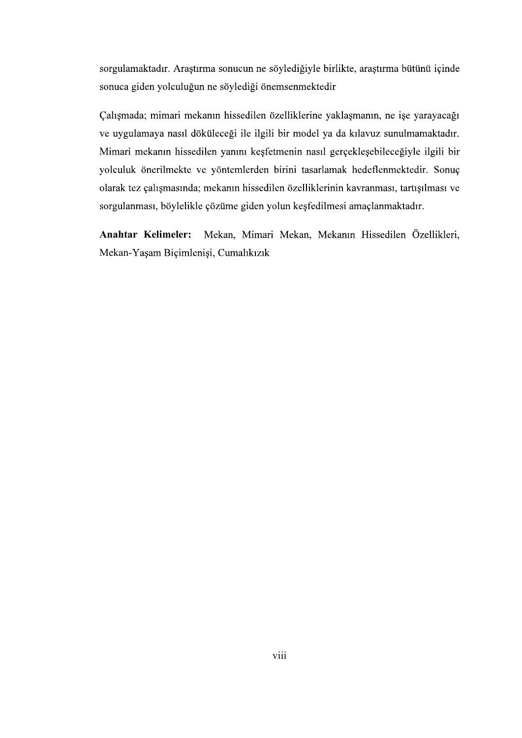sorgulamaktadır. Araştırma sonucun ne söylediğiyle birlikte, araştırma bütünü içinde sonuca giden yolculuğun ne söylediği önemsenmektedir

Calışmada; mimari mekanın hissedilen özelliklerine yaklaşmanın, ne işe yarayacağı ve uygulamaya nasıl döküleceği ile ilgili bir model ya da kılavuz sunulmamaktadır. Mimari mekanın hissedilen yanını keşfetmenin nasıl gerçekleşebileceğiyle ilgili bir yolculuk önerilmekte ve yöntemlerden birini tasarlamak hedeflenmektedir. Sonuç olarak tez çalışmasında; mekanın hissedilen özelliklerinin kavranması, tartışılması ve sorgulanması, böylelikle çözüme giden yolun keşfedilmesi amaçlanmaktadır.

**Anahtar Kelimeler:** Mekan, Mimari Mekan, Mekanın Hissedilen Özellikleri, Mekan-Yaşam Biçimlenişi, Cumalıkızık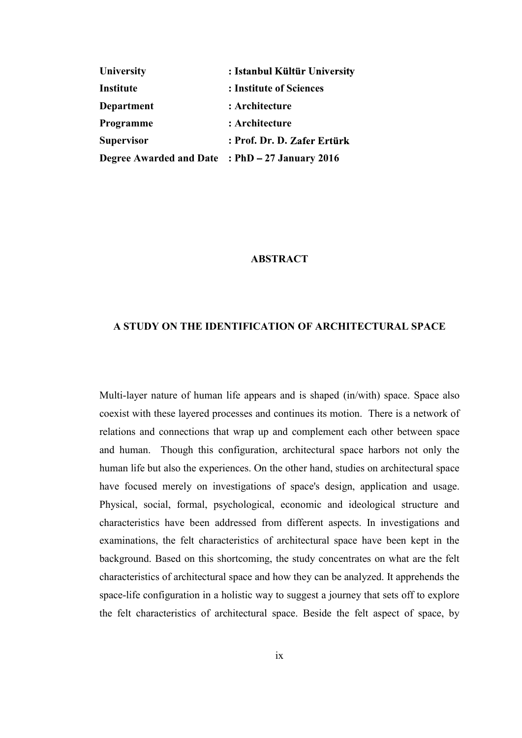| <b>University</b>                               | : Istanbul Kültür University |
|-------------------------------------------------|------------------------------|
| Institute                                       | : Institute of Sciences      |
| Department                                      | : Architecture               |
| Programme                                       | : Architecture               |
| <b>Supervisor</b>                               | : Prof. Dr. D. Zafer Ertürk  |
| Degree Awarded and Date : PhD - 27 January 2016 |                              |

## **ABSTRACT**

## A STUDY ON THE IDENTIFICATION OF ARCHITECTURAL SPACE

Multi-layer nature of human life appears and is shaped (in/with) space. Space also coexist with these layered processes and continues its motion. There is a network of relations and connections that wrap up and complement each other between space and human. Though this configuration, architectural space harbors not only the human life but also the experiences. On the other hand, studies on architectural space have focused merely on investigations of space's design, application and usage. Physical, social, formal, psychological, economic and ideological structure and characteristics have been addressed from different aspects. In investigations and examinations, the felt characteristics of architectural space have been kept in the background. Based on this shortcoming, the study concentrates on what are the felt characteristics of architectural space and how they can be analyzed. It apprehends the space-life configuration in a holistic way to suggest a journey that sets off to explore the felt characteristics of architectural space. Beside the felt aspect of space, by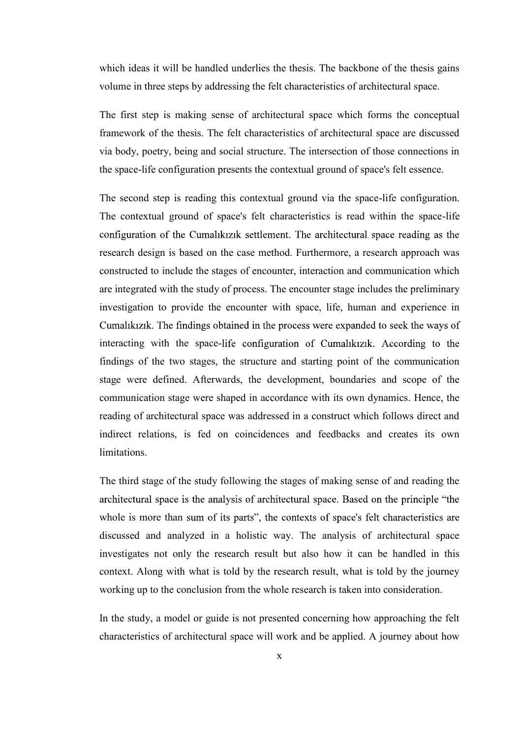which ideas it will be handled underlies the thesis. The backbone of the thesis gains volume in three steps by addressing the felt characteristics of architectural space.

The first step is making sense of architectural space which forms the conceptual framework of the thesis. The felt characteristics of architectural space are discussed via body, poetry, being and social structure. The intersection of those connections in the space-life configuration presents the contextual ground of space's felt essence.

The second step is reading this contextual ground via the space-life configuration. The contextual ground of space's felt characteristics is read within the space-life configuration of the Cumalıkızık settlement. The architectural space reading as the research design is based on the case method. Furthermore, a research approach was constructed to include the stages of encounter, interaction and communication which are integrated with the study of process. The encounter stage includes the preliminary investigation to provide the encounter with space, life, human and experience in Cumalikizik. The findings obtained in the process were expanded to seek the ways of interacting with the space-life configuration of Cumalikizik. According to the findings of the two stages, the structure and starting point of the communication stage were defined. Afterwards, the development, boundaries and scope of the communication stage were shaped in accordance with its own dynamics. Hence, the reading of architectural space was addressed in a construct which follows direct and indirect relations, is fed on coincidences and feedbacks and creates its own limitations.

The third stage of the study following the stages of making sense of and reading the architectural space is the analysis of architectural space. Based on the principle "the whole is more than sum of its parts", the contexts of space's felt characteristics are discussed and analyzed in a holistic way. The analysis of architectural space investigates not only the research result but also how it can be handled in this context. Along with what is told by the research result, what is told by the journey working up to the conclusion from the whole research is taken into consideration.

In the study, a model or guide is not presented concerning how approaching the felt characteristics of architectural space will work and be applied. A journey about how